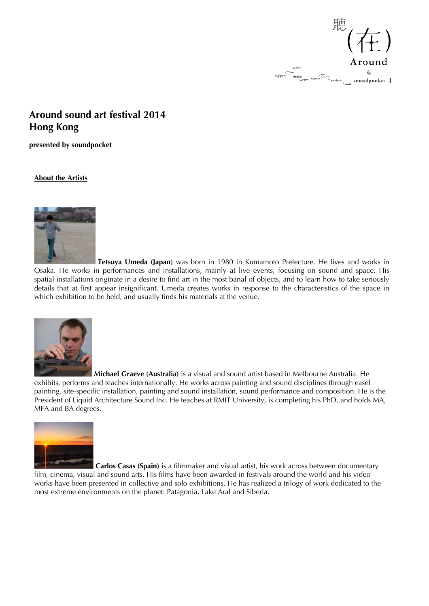

## **Around sound art festival 2014 Hong Kong**

**presented by soundpocket**

## **About the Artists**



 **Tetsuya Umeda (Japan)** was born in 1980 in Kumamoto Prefecture. He lives and works in Osaka. He works in performances and installations, mainly at live events, focusing on sound and space. His spatial installations originate in a desire to find art in the most banal of objects, and to learn how to take seriously details that at first appear insignificant. Umeda creates works in response to the characteristics of the space in which exhibition to be held, and usually finds his materials at the venue.



 **Michael Graeve (Australia)** is a visual and sound artist based in Melbourne Australia. He exhibits, performs and teaches internationally. He works across painting and sound disciplines through easel painting, site-specific installation, painting and sound installation, sound performance and composition. He is the President of Liquid Architecture Sound Inc. He teaches at RMIT University, is completing his PhD, and holds MA, MFA and BA degrees.



**Carlos Casas (Spain)** is a filmmaker and visual artist, his work across between documentary

film, cinema, visual and sound arts. His films have been awarded in festivals around the world and his video works have been presented in collective and solo exhibitions. He has realized a trilogy of work dedicated to the most extreme environments on the planet: Patagonia, Lake Aral and Siberia.